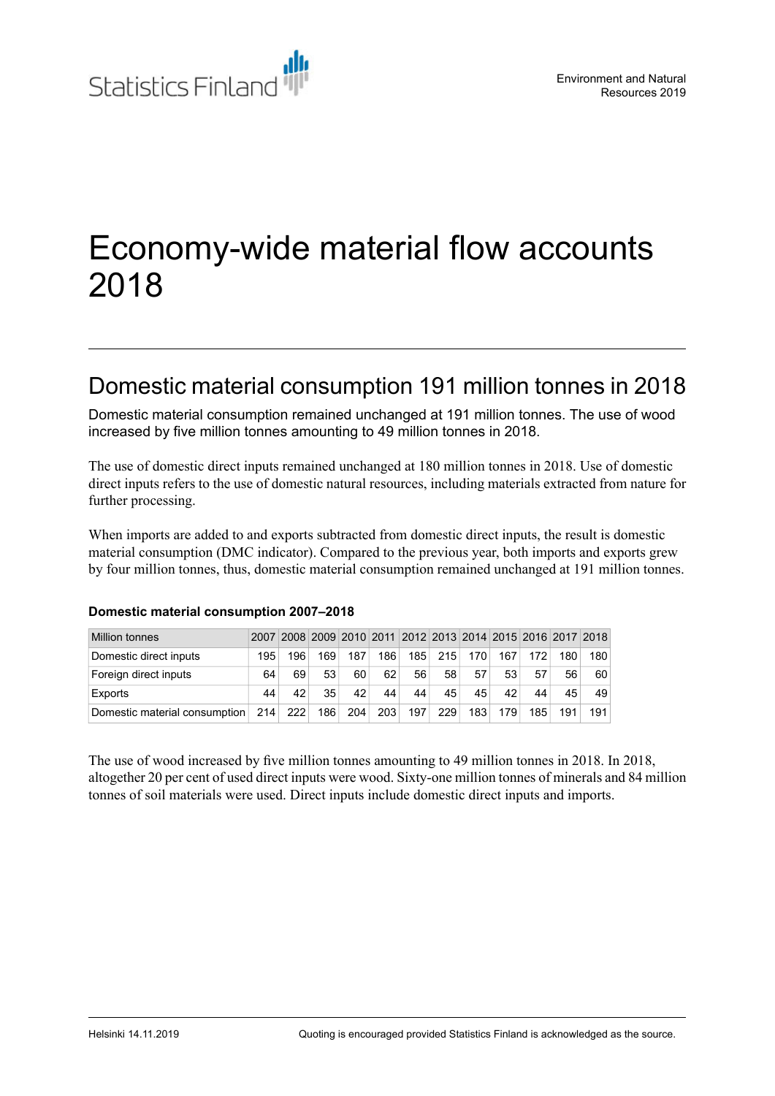

# Economy-wide material flow accounts 2018

# Domestic material consumption 191 million tonnes in 2018

Domestic material consumption remained unchanged at 191 million tonnes. The use of wood increased by five million tonnes amounting to 49 million tonnes in 2018.

The use of domestic direct inputs remained unchanged at 180 million tonnes in 2018. Use of domestic direct inputs refers to the use of domestic natural resources, including materials extracted from nature for further processing.

When imports are added to and exports subtracted from domestic direct inputs, the result is domestic material consumption (DMC indicator). Compared to the previous year, both imports and exports grew by four million tonnes, thus, domestic material consumption remained unchanged at 191 million tonnes.

| <b>Million tonnes</b>         |     |     |     |     |     | 2007 2008 2009 2010 2011 2012 2013 2014 2015 2016 2017 2018 |     |     |     |     |     |     |
|-------------------------------|-----|-----|-----|-----|-----|-------------------------------------------------------------|-----|-----|-----|-----|-----|-----|
| Domestic direct inputs        | 195 | 196 | 169 | 187 | 186 | 185                                                         | 215 | 170 | 167 | 172 | 180 | 180 |
| Foreign direct inputs         | 64  | 69  | 53  | 60  | 62  | 56                                                          | 58  | 57  | 53  | 57  | 56  | 60  |
| Exports                       | 44  | 42  | 35  | 42  | 44  | 44                                                          | 45  | 45  | 42  | 44  | 45  | 49  |
| Domestic material consumption | 214 | 222 | 186 | 204 | 203 | 197                                                         | 229 | 183 | 179 | 185 | 191 | 191 |

### **Domestic material consumption 2007–2018**

The use of wood increased by five million tonnes amounting to 49 million tonnes in 2018. In 2018, altogether 20 per cent of used direct inputs were wood. Sixty-one million tonnes of minerals and 84 million tonnes of soil materials were used. Direct inputs include domestic direct inputs and imports.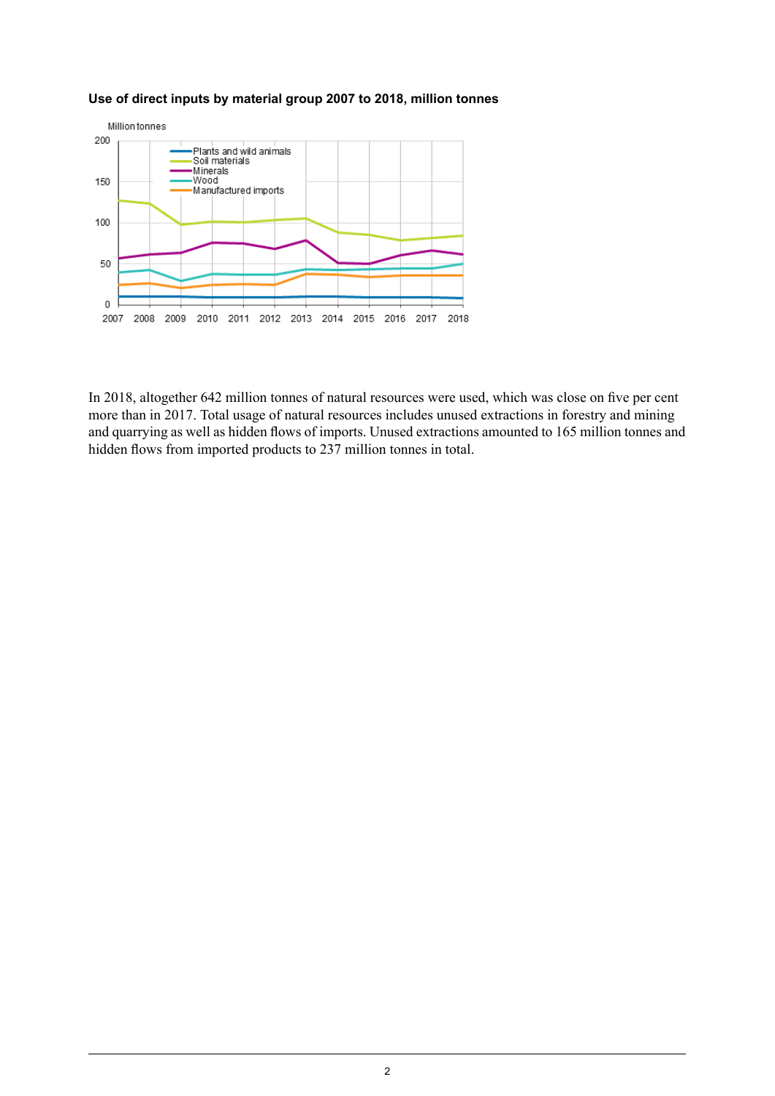

#### **Use of direct inputs by material group 2007 to 2018, million tonnes**

In 2018, altogether 642 million tonnes of natural resources were used, which was close on five per cent more than in 2017. Total usage of natural resources includes unused extractions in forestry and mining and quarrying as well as hidden flows of imports. Unused extractions amounted to 165 million tonnes and hidden flows from imported products to 237 million tonnes in total.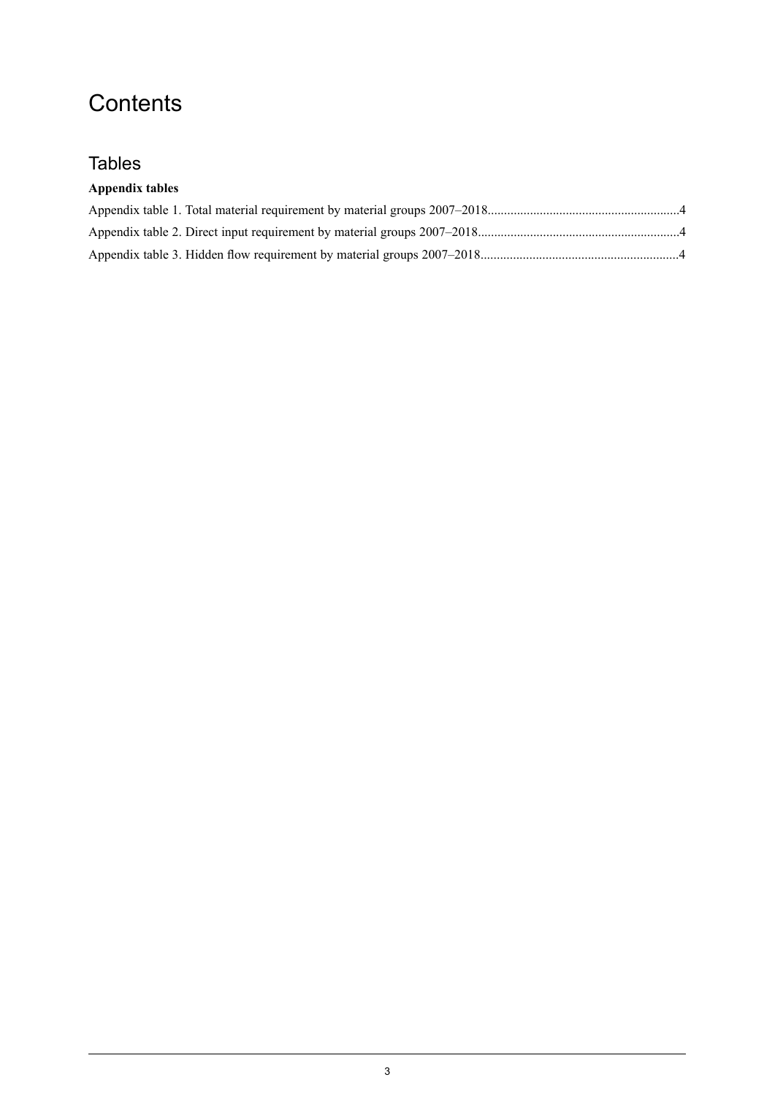# **Contents**

## **Tables**

### **Appendix tables**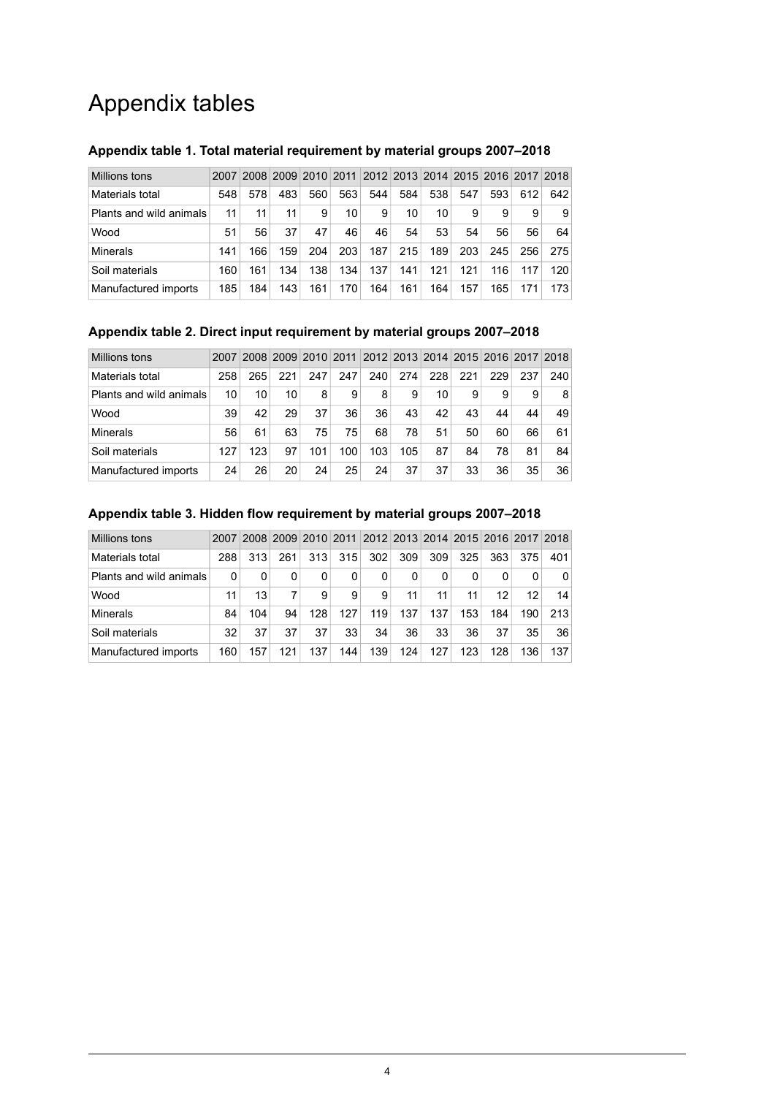# Appendix tables

| Millions tons           | 2007 |     |     |     |     |     |     |     |     | 2008 2009 2010 2011 2012 2013 2014 2015 2016 2017 2018 |     |     |
|-------------------------|------|-----|-----|-----|-----|-----|-----|-----|-----|--------------------------------------------------------|-----|-----|
| Materials total         | 548  | 578 | 483 | 560 | 563 | 544 | 584 | 538 | 547 | 593                                                    | 612 | 642 |
| Plants and wild animals | 11   | 11  | 11  | 9   | 10  | 9   | 10  | 10  | 9   | 9                                                      | 9   | 9   |
| Wood                    | 51   | 56  | 37  | 47  | 46  | 46  | 54  | 53  | 54  | 56                                                     | 56  | 64  |
| Minerals                | 141  | 166 | 159 | 204 | 203 | 187 | 215 | 189 | 203 | 245                                                    | 256 | 275 |
| Soil materials          | 160  | 161 | 134 | 138 | 134 | 137 | 141 | 121 | 121 | 116                                                    | 117 | 120 |
| Manufactured imports    | 185  | 184 | 143 | 161 | 170 | 164 | 161 | 164 | 157 | 165                                                    | 171 | 173 |

### <span id="page-3-0"></span>**Appendix table 1. Total material requirement by material groups 2007–2018**

#### <span id="page-3-1"></span>**Appendix table 2. Direct input requirement by material groups 2007–2018**

| Millions tons           | 2007 |     |     |     |     |     |     |     |     | 2008 2009 2010 2011 2012 2013 2014 2015 2016 2017 2018 |     |                 |
|-------------------------|------|-----|-----|-----|-----|-----|-----|-----|-----|--------------------------------------------------------|-----|-----------------|
| Materials total         | 258  | 265 | 221 | 247 | 247 | 240 | 274 | 228 | 221 | 229                                                    | 237 | 240             |
| Plants and wild animals | 10   | 10  | 10  | 8   | 9   | 8   | 9   | 10  | 9   | 9                                                      | 9   | 8               |
| Wood                    | 39   | 42  | 29  | 37  | 36  | 36  | 43  | 42  | 43  | 44                                                     | 44  | 49              |
| Minerals                | 56   | 61  | 63  | 75  | 75  | 68  | 78  | 51  | 50  | 60                                                     | 66  | 61              |
| Soil materials          | 127  | 123 | 97  | 101 | 100 | 103 | 105 | 87  | 84  | 78                                                     | 81  | 84              |
| Manufactured imports    | 24   | 26  | 20  | 24  | 25  | 24  | 37  | 37  | 33  | 36                                                     | 35  | 36 <sup>2</sup> |

### Millions tons 2007 2008 2009 2010 2011 2012 2013 2014 2015 2016 2017 2018 Materials total 288 313 261 313 315 302 309 309 325 363 375 401 Plants and wild animals 0 0 0 0 0 0 0 0 0 0 0 0 Wood 11 13 7 9 9 9 11 11 11 12 12 14 Minerals 84 104 94 128 127 119 137 137 153 184 190 213

Soil materials 32 37 37 37 33 34 36 33 36 37 35 36 Manufactured imports | 160 | 157 | 121 | 137 | 144 | 139 | 124 | 127 | 123 | 128 | 136 | 137

#### <span id="page-3-2"></span>**Appendix table 3. Hidden flow requirement by material groups 2007–2018**